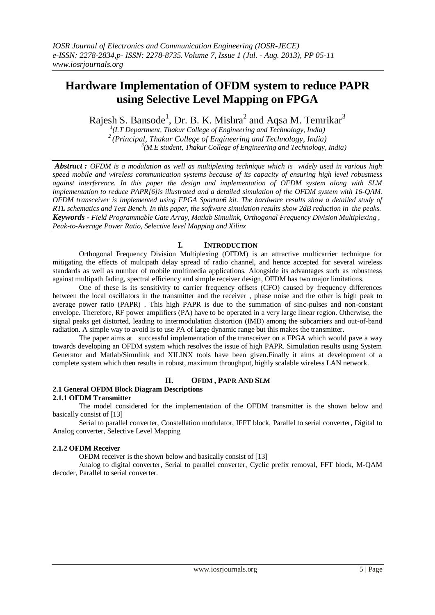# **Hardware Implementation of OFDM system to reduce PAPR using Selective Level Mapping on FPGA**

Rajesh S. Bansode<sup>1</sup>, Dr. B. K. Mishra<sup>2</sup> and Aqsa M. Temrikar<sup>3</sup>

*1 (I.T Department, Thakur College of Engineering and Technology, India) <sup>2</sup>(Principal, Thakur College of Engineering and Technology, India) 3 (M.E student, Thakur College of Engineering and Technology, India)*

*Abstract : OFDM is a modulation as well as multiplexing technique which is widely used in various high speed mobile and wireless communication systems because of its capacity of ensuring high level robustness against interference. In this paper the design and implementation of OFDM system along with SLM implementation to reduce PAPR[6]is illustrated and a detailed simulation of the OFDM system with 16-QAM. OFDM transceiver is implemented using FPGA Spartan6 kit. The hardware results show a detailed study of RTL schematics and Test Bench. In this paper, the software simulation results show 2dB reduction in the peaks. Keywords - Field Programmable Gate Array, Matlab Simulink, Orthogonal Frequency Division Multiplexing , Peak-to-Average Power Ratio, Selective level Mapping and Xilinx*

## **I. INTRODUCTION**

Orthogonal Frequency Division Multiplexing (OFDM) is an attractive multicarrier technique for mitigating the effects of multipath delay spread of radio channel, and hence accepted for several wireless standards as well as number of mobile multimedia applications. Alongside its advantages such as robustness against multipath fading, spectral efficiency and simple receiver design, OFDM has two major limitations.

One of these is its sensitivity to carrier frequency offsets (CFO) caused by frequency differences between the local oscillators in the transmitter and the receiver , phase noise and the other is high peak to average power ratio (PAPR) . This high PAPR is due to the summation of sinc-pulses and non-constant envelope. Therefore, RF power amplifiers (PA) have to be operated in a very large linear region. Otherwise, the signal peaks get distorted, leading to intermodulation distortion (IMD) among the subcarriers and out-of-band radiation. A simple way to avoid is to use PA of large dynamic range but this makes the transmitter.

The paper aims at successful implementation of the transceiver on a FPGA which would pave a way towards developing an OFDM system which resolves the issue of high PAPR. Simulation results using System Generator and Matlab/Simulink and XILINX tools have been given.Finally it aims at development of a complete system which then results in robust, maximum throughput, highly scalable wireless LAN network.

## **II. OFDM , PAPR AND SLM**

#### **2.1 General OFDM Block Diagram Descriptions 2.1.1 OFDM Transmitter**

The model considered for the implementation of the OFDM transmitter is the shown below and basically consist of [13]

Serial to parallel converter, Constellation modulator, IFFT block, Parallel to serial converter, Digital to Analog converter, Selective Level Mapping

## **2.1.2 OFDM Receiver**

OFDM receiver is the shown below and basically consist of [13]

Analog to digital converter, Serial to parallel converter, Cyclic prefix removal, FFT block, M-QAM decoder, Parallel to serial converter.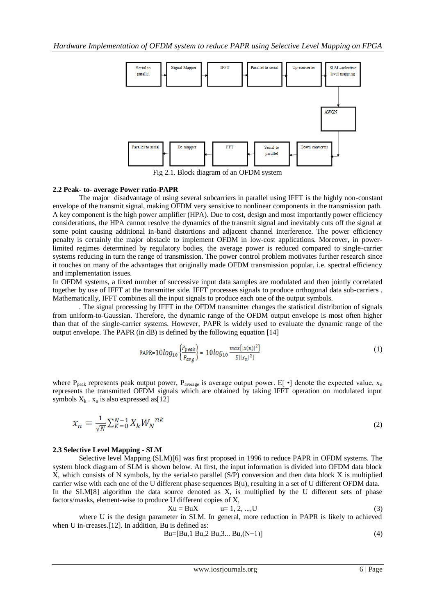

Fig 2.1. Block diagram of an OFDM system

#### **2.2 Peak- to- average Power ratio-PAPR**

The major disadvantage of using several subcarriers in parallel using IFFT is the highly non-constant envelope of the transmit signal, making OFDM very sensitive to nonlinear components in the transmission path. A key component is the high power amplifier (HPA). Due to cost, design and most importantly power efficiency considerations, the HPA cannot resolve the dynamics of the transmit signal and inevitably cuts off the signal at some point causing additional in-band distortions and adjacent channel interference. The power efficiency penalty is certainly the major obstacle to implement OFDM in low-cost applications. Moreover, in powerlimited regimes determined by regulatory bodies, the average power is reduced compared to single-carrier systems reducing in turn the range of transmission. The power control problem motivates further research since it touches on many of the advantages that originally made OFDM transmission popular, i.e. spectral efficiency and implementation issues.

In OFDM systems, a fixed number of successive input data samples are modulated and then jointly correlated together by use of IFFT at the transmitter side. IFFT processes signals to produce orthogonal data sub-carriers . Mathematically, IFFT combines all the input signals to produce each one of the output symbols.

. The signal processing by IFFT in the OFDM transmitter changes the statistical distribution of signals from uniform-to-Gaussian. Therefore, the dynamic range of the OFDM output envelope is most often higher than that of the single-carrier systems. However, PAPR is widely used to evaluate the dynamic range of the output envelope. The PAPR (in dB) is defined by the following equation [14]

PAPR=10log<sub>10</sub> 
$$
\left\{\frac{P_{peak}}{P_{avg}}\right\}
$$
 = 10log<sub>10</sub>  $\frac{max[|x(n)|^2]}{E[|x_n|^2]}$  (1)

where P<sub>peak</sub> represents peak output power, P<sub>average</sub> is average output power. E[ $\cdot$ ] denote the expected value, x<sub>n</sub> represents the transmitted OFDM signals which are obtained by taking IFFT operation on modulated input symbols  $X_k$ .  $x_n$  is also expressed as [12]

$$
x_n = \frac{1}{\sqrt{N}} \sum_{K=0}^{N-1} X_K W_N^{nk}
$$
\n(2)

#### **2.3 Selective Level Mapping - SLM**

Selective level Mapping (SLM)[6] was first proposed in 1996 to reduce PAPR in OFDM systems. The system block diagram of SLM is shown below. At first, the input information is divided into OFDM data block X, which consists of N symbols, by the serial-to parallel (S/P) conversion and then data block X is multiplied carrier wise with each one of the U different phase sequences B(u), resulting in a set of U different OFDM data. In the SLM[8] algorithm the data source denoted as X, is multiplied by the U different sets of phase factors/masks, element-wise to produce U different copies of X,

$$
Xu = BuX
$$
  $u = 1, 2, ..., U$  (3)

where U is the design parameter in SLM. In general, more reduction in PAPR is likely to achieved when U in-creases.[12]. In addition, Bu is defined as:

$$
Bu=[Bu, 1 Bu, 2 Bu, 3... Bu, (N-1)]
$$
 (4)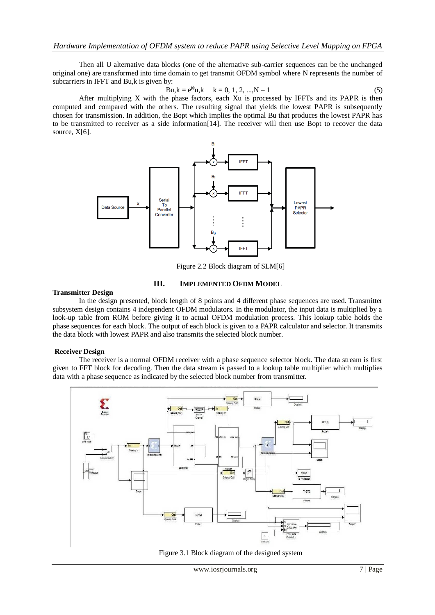Then all U alternative data blocks (one of the alternative sub-carrier sequences can be the unchanged original one) are transformed into time domain to get transmit OFDM symbol where N represents the number of subcarriers in IFFT and Bu,k is given by:

$$
\mathbf{B}\mathbf{u}, \mathbf{k} = \mathbf{e}^{\mathbf{j}\phi}\mathbf{u}, \mathbf{k} = 0, 1, 2, \dots, N - 1
$$
 (5)

After multiplying X with the phase factors, each Xu is processed by IFFTs and its PAPR is then computed and compared with the others. The resulting signal that yields the lowest PAPR is subsequently chosen for transmission. In addition, the Bopt which implies the optimal Bu that produces the lowest PAPR has to be transmitted to receiver as a side information[14]. The receiver will then use Bopt to recover the data source,  $X[6]$ .



Figure 2.2 Block diagram of SLM[6]

#### **Transmitter Design**

## **III. IMPLEMENTED OFDM MODEL**

In the design presented, block length of 8 points and 4 different phase sequences are used. Transmitter subsystem design contains 4 independent OFDM modulators. In the modulator, the input data is multiplied by a look-up table from ROM before giving it to actual OFDM modulation process. This lookup table holds the phase sequences for each block. The output of each block is given to a PAPR calculator and selector. It transmits the data block with lowest PAPR and also transmits the selected block number.

## **Receiver Design**

The receiver is a normal OFDM receiver with a phase sequence selector block. The data stream is first given to FFT block for decoding. Then the data stream is passed to a lookup table multiplier which multiplies data with a phase sequence as indicated by the selected block number from transmitter.



Figure 3.1 Block diagram of the designed system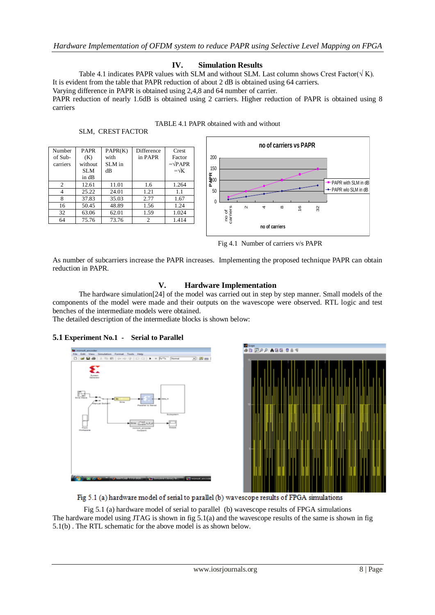## **IV. Simulation Results**

Table 4.1 indicates PAPR values with SLM and without SLM. Last column shows Crest Factor( $\sqrt{k}$ ). It is evident from the table that PAPR reduction of about 2 dB is obtained using 64 carriers.

Varying difference in PAPR is obtained using 2,4,8 and 64 number of carrier.

PAPR reduction of nearly 1.6dB is obtained using 2 carriers. Higher reduction of PAPR is obtained using 8 carriers

| TABLE 4.1 PAPR obtained with and without |
|------------------------------------------|
|------------------------------------------|

SLM, CREST FACTOR

| Number<br>of Sub-<br>carriers | <b>PAPR</b><br>(K)<br>without<br>SLM<br>in dB | PAPR(K)<br>with<br>SLM in<br>dВ | <b>Difference</b><br>in PAPR | Crest<br>Factor<br>$=\sqrt{PAPR}$<br>$=\sqrt{K}$ |
|-------------------------------|-----------------------------------------------|---------------------------------|------------------------------|--------------------------------------------------|
| $\overline{c}$                | 12.61                                         | 11.01                           | 1.6                          | 1.264                                            |
| 4                             | 25.22                                         | 24.01                           | 1.21                         | 1.1                                              |
| 8                             | 37.83                                         | 35.03                           | 2.77                         | 1.67                                             |
| 16                            | 50.45                                         | 48.89                           | 1.56                         | 1.24                                             |
| 32                            | 63.06                                         | 62.01                           | 1.59                         | 1.024                                            |
| 64                            | 75.76                                         | 73.76                           | 2                            | 1.414                                            |



Fig 4.1 Number of carriers v/s PAPR

As number of subcarriers increase the PAPR increases. Implementing the proposed technique PAPR can obtain reduction in PAPR.

## **V. Hardware Implementation**

The hardware simulation[24] of the model was carried out in step by step manner. Small models of the components of the model were made and their outputs on the wavescope were observed. RTL logic and test benches of the intermediate models were obtained.

The detailed description of the intermediate blocks is shown below:

## **5.1 Experiment No.1 - Serial to Parallel**





Fig 5.1 (a) hardware model of serial to parallel (b) wavescope results of FPGA simulations The hardware model using JTAG is shown in fig 5.1(a) and the wavescope results of the same is shown in fig 5.1(b) . The RTL schematic for the above model is as shown below.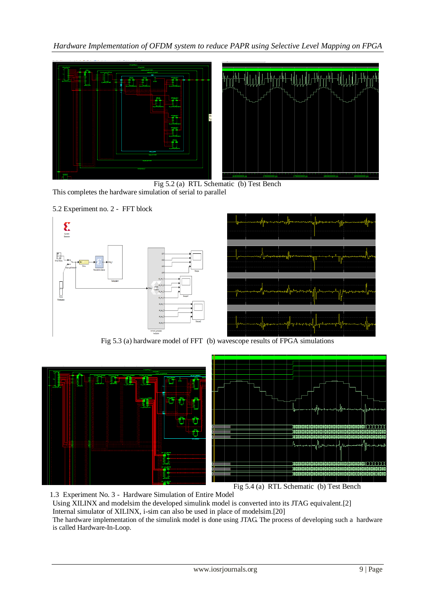*Hardware Implementation of OFDM system to reduce PAPR using Selective Level Mapping on FPGA* 



Fig 5.2 (a) RTL Schematic (b) Test Bench This completes the hardware simulation of serial to parallel

## 5.2 Experiment no. 2 - FFT block



Fig 5.3 (a) hardware model of FFT (b) wavescope results of FPGA simulations



1.3 Experiment No. 3 - Hardware Simulation of Entire Model Using XILINX and modelsim the developed simulink model is converted into its JTAG equivalent.[2] Internal simulator of XILINX, i-sim can also be used in place of modelsim.[20] The hardware implementation of the simulink model is done using JTAG. The process of developing such a hardware is called Hardware-In-Loop.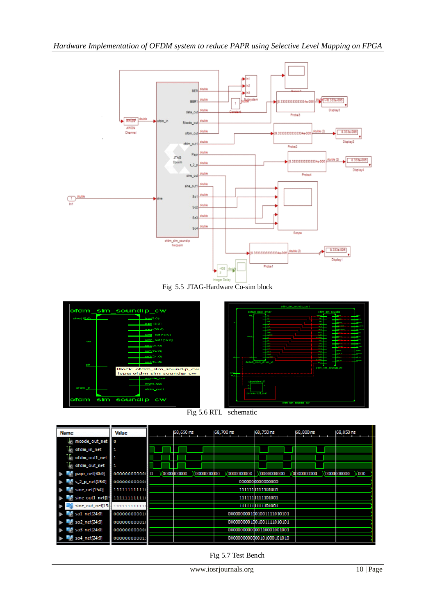

Fig 5.5 JTAG-Hardware Co-sim block



Fig 5.6 RTL schematic

| <b>Name</b>                     | Value        |    | 68,650 ns  | 68,700 ns  |            | 68,750 ns                 | 68,800 ns  | 68,850 ns  |      |
|---------------------------------|--------------|----|------------|------------|------------|---------------------------|------------|------------|------|
| mcode_out_net                   | o            |    |            |            |            |                           |            |            |      |
| ll ofdm_in_net                  |              |    |            |            |            |                           |            |            |      |
| ofdm_out1_net                   | 1            |    |            |            |            |                           |            |            |      |
| ofdm_out_net                    | 1            |    |            |            |            |                           |            |            |      |
| papr_net[30:0]                  | 00000000000  | 0. | 0000000000 | 0000000000 | 0000000000 | 0000000000                | 0000000000 | 0000000000 | 000. |
| \$ s 2 p net[15:0]              | 00000000000  |    |            |            |            | 000000000000000           |            |            |      |
| $\frac{1}{2}$ sine net $[15:0]$ | 111111111111 |    |            |            |            | 1111111111101001          |            |            |      |
| sine_out1_net[15 111111111111   |              |    |            |            |            | 111111111111101001        |            |            |      |
| sine_out_net[15: 111111111111   |              |    |            |            |            | 1111111111101001          |            |            |      |
| so1_net[24:0]                   | 00000000001  |    |            |            |            | 0000000001001001111010101 |            |            |      |
| so2_net[24:0]                   | 00000000001  |    |            |            |            | 0000000001001001111010101 |            |            |      |
| so3_net[24:0]                   | 00000000000  |    |            |            |            | 0000000000000110001001001 |            |            |      |
| so4_net[24:0]                   | 000000000011 |    |            |            |            | 0000000000000101000101010 |            |            |      |